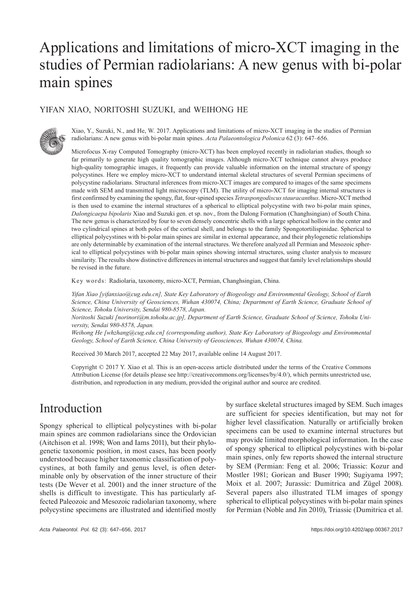# Applications and limitations of micro-XCT imaging in the studies of Permian radiolarians: A new genus with bi-polar main spines

### YIFAN XIAO, NORITOSHI SUZUKI, and WEIHONG HE



Xiao, Y., Suzuki, N., and He, W. 2017. Applications and limitations of micro-XCT imaging in the studies of Permian radiolarians: A new genus with bi-polar main spines. *Acta Palaeontologica Polonica* 62 (3): 647–656.

Microfocus X-ray Computed Tomography (micro-XCT) has been employed recently in radiolarian studies, though so far primarily to generate high quality tomographic images. Although micro-XCT technique cannot always produce high-quality tomographic images, it frequently can provide valuable information on the internal structure of spongy polycystines. Here we employ micro-XCT to understand internal skeletal structures of several Permian specimens of polycystine radiolarians. Structural inferences from micro-XCT images are compared to images of the same specimens made with SEM and transmitted light microscopy (TLM). The utility of micro-XCT for imaging internal structures is first confirmed by examining the spongy, flat, four-spined species *Tetraspongodiscus stauracanthus*. Micro-XCT method is then used to examine the internal structures of a spherical to elliptical polycystine with two bi-polar main spines, *Dalongicaepa bipolaris* Xiao and Suzuki gen. et sp. nov., from the Dalong Formation (Changhsingian) of South China. The new genus is characterized by four to seven densely concentric shells with a large spherical hollow in the center and two cylindrical spines at both poles of the cortical shell, and belongs to the family Spongotortilispinidae. Spherical to elliptical polycystines with bi-polar main spines are similar in external appearance, and their phylogenetic relationships are only determinable by examination of the internal structures. We therefore analyzed all Permian and Mesozoic spherical to elliptical polycystines with bi-polar main spines showing internal structures, using cluster analysis to measure similarity. The results show distinctive differences in internal structures and suggest that family level relationships should be revised in the future.

Key words: Radiolaria, taxonomy, micro-XCT, Permian, Changhsingian, China.

*Yifan Xiao [yifanxiao@cug.edu.cn], State Key Laboratory of Biogeology and Environmental Geology, School of Earth Science, China University of Geosciences, Wuhan 430074, China; Department of Earth Science, Graduate School of Science, Tohoku University, Sendai 980-8578, Japan.*

*Noritoshi Suzuki [norinori@m.tohoku.ac.jp], Department of Earth Science, Graduate School of Science, Tohoku University, Sendai 980-8578, Japan.*

*Weihong He [whzhang@cug.edu.cn] (corresponding author), State Key Laboratory of Biogeology and Environmental Geology, School of Earth Science, China University of Geosciences, Wuhan 430074, China.*

Received 30 March 2017, accepted 22 May 2017, available online 14 August 2017.

Copyright © 2017 Y. Xiao et al. This is an open-access article distributed under the terms of the Creative Commons Attribution License (for details please see http://creativecommons.org/licenses/by/4.0/), which permits unrestricted use, distribution, and reproduction in any medium, provided the original author and source are credited.

### Introduction

Spongy spherical to elliptical polycystines with bi-polar main spines are common radiolarians since the Ordovician (Aitchison et al. 1998; Won and Iams 2011), but their phylogenetic taxonomic position, in most cases, has been poorly understood because higher taxonomic classification of polycystines, at both family and genus level, is often determinable only by observation of the inner structure of their tests (De Wever et al. 2001) and the inner structure of the shells is difficult to investigate. This has particularly affected Paleozoic and Mesozoic radiolarian taxonomy, where polycystine specimens are illustrated and identified mostly by surface skeletal structures imaged by SEM. Such images are sufficient for species identification, but may not for higher level classification. Naturally or artificially broken specimens can be used to examine internal structures but may provide limited morphological information. In the case of spongy spherical to elliptical polycystines with bi-polar main spines, only few reports showed the internal structure by SEM (Permian: Feng et al. 2006; Triassic: Kozur and Mostler 1981; Gorican and Buser 1990; Sugiyama 1997; Moix et al. 2007; Jurassic: Dumitrica and Zügel 2008). Several papers also illustrated TLM images of spongy spherical to elliptical polycystines with bi-polar main spines for Permian (Noble and Jin 2010), Triassic (Dumitrica et al.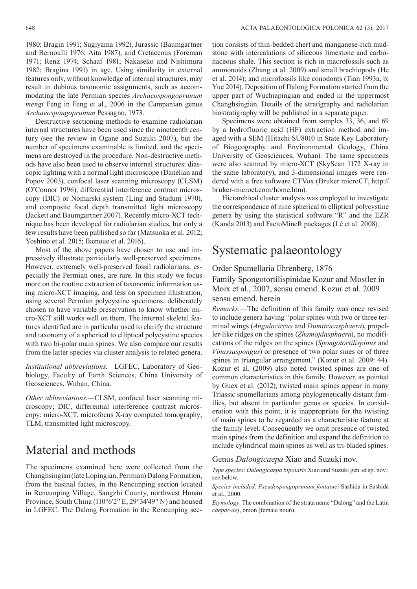1980; Bragin 1991; Sugiyama 1992), Jurassic (Baumgartner and Bernoulli 1976; Aita 1987), and Cretaceous (Foreman 1971; Renz 1974; Schaaf 1981; Nakaseko and Nishimura 1982; Bragina 1991) in age. Using similarity in external features only, without knowledge of internal structures, may result in dubious taxonomic assignments, such as accommodating the late Permian species *Archaeospongoprunum mengi* Feng in Feng et al., 2006 in the Campanian genus *Archaeospongoprunum* Pessagno, 1973.

Destructive sectioning methods to examine radiolarian internal structures have been used since the nineteenth century (see the review in Ogane and Suzuki 2007), but the number of specimens examinable is limited, and the specimens are destroyed in the procedure. Non-destructive methods have also been used to observe internal structures: diascopic lighting with a normal light microscope (Danelian and Popov 2003), confocal laser scanning microscopy (CLSM) (O'Connor 1996), differential interference contrast microscopy (DIC) or Nomarski system (Ling and Stadum 1970), and composite focal depth transmitted light microscopy (Jackett and Baumgartner 2007). Recently micro-XCT technique has been developed for radiolarian studies, but only a few results have been published so far (Matsuoka et al. 2012; Yoshino et al. 2015; Ikenoue et al. 2016).

Most of the above papers have chosen to use and impressively illustrate particularly well-preserved specimens. However, extremely well-preserved fossil radiolarians, especially the Permian ones, are rare. In this study we focus more on the routine extraction of taxonomic information using micro-XCT imaging, and less on specimen illustration, using several Permian polycystine specimens, deliberately chosen to have variable preservation to know whether micro-XCT still works well on them. The internal skeletal features identified are in particular used to clarify the structure and taxonomy of a spherical to elliptical polycystine species with two bi-polar main spines. We also compare our results from the latter species via cluster analysis to related genera.

*Institutional abbreviations.—*LGFEC, Laboratory of Geobiology, Faculty of Earth Sciences, China University of Geosciences, Wuhan, China.

*Other abbreviations.—*CLSM, confocal laser scanning microscopy; DIC, differential interference contrast microscopy; micro-XCT, microfocus X-ray computed tomography; TLM, transmitted light microscopy.

# Material and methods

The specimens examined here were collected from the Changhsingian (late Lopingian, Permian) Dalong Formation, from the basinal facies, in the Rencunping section located in Rencunping Village, Sangzhi County, northwest Hunan Province, South China (110°6′2′′ E, 29°34′49′′ N) and housed in LGFEC. The Dalong Formation in the Rencunping section consists of thin-bedded chert and manganese-rich mudstone with intercalations of siliceous limestone and carbonaceous shale. This section is rich in macrofossils such as ammonoids (Zhang et al. 2009) and small brachiopods (He et al. 2014); and microfossils like conodonts (Tian 1993a, b; Yue 2014). Deposition of Dalong Formation started from the upper part of Wuchiapingian and ended in the uppermost Changhsingian. Details of the stratigraphy and radiolarian biostratigraphy will be published in a separate paper.

Specimens were obtained from samples 33, 36, and 69 by a hydrofluoric acid (HF) extraction method and imaged with a SEM (Hitachi SU8010 in State Key Laboratory of Biogeography and Environmental Geology, China University of Geosciences, Wuhan). The same specimens were also scanned by micro-XCT (SkyScan 1172 X-ray in the same laboratory), and 3-dimensional images were rendered with a free software CTVox (Bruker microCT, http:// bruker-microct.com/home.htm).

Hierarchical cluster analysis was employed to investigate the correspondence of nine spherical to elliptical polycystine genera by using the statistical software "R" and the EZR (Kanda 2013) and FactoMineR packages (Lê et al. 2008).

# Systematic palaeontology

#### Order Spumellaria Ehrenberg, 1876

Family Spongotortilispinidae Kozur and Mostler in Moix et al., 2007, sensu emend. Kozur et al. 2009 sensu emend. herein

*Remarks.*—The definition of this family was once revised to include genera having "polar spines with two or three terminal wings (*Angulocircus* and *Dumitricasphaera*), propeller-like ridges on the spines (*Zhamojdasphaera*), no modifications of the ridges on the spines (*Spongotortilispinus* and *Vinassaspongus*) or presence of two polar sines or of three spines in triangular arrangement." (Kozur et al. 2009: 44). Kozur et al. (2009) also noted twisted spines are one of common characteristics in this family. However, as pointed by Guex et al. (2012), twisted main spines appear in many Triassic spumellarians among phylogenetically distant families, but absent in particular genus or species. In consideration with this point, it is inappropriate for the twisting of main spines to be regarded as a characteristic feature at the family level. Consequently we omit presence of twisted main spines from the definition and expand the definition to include cylindrical main spines as well as tri-bladed spines.

#### Genus *Dalongicaepa* Xiao and Suzuki nov.

*Type species*: *Dalongicaepa bipolaris* Xiao and Suzuki gen. et sp. nov.; see below.

*Species included*: *Pseudospongoprunum fontainei* Sashida in Sashida et al., 2000.

*Etymology*: The combination of the strata name "Dalong" and the Latin *caepa(-ae)*, onion (female noun).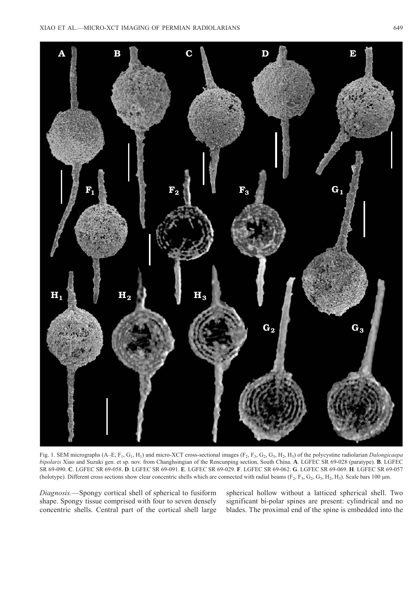

Fig. 1. SEM micrographs (A–E, F<sub>1</sub>, G<sub>1</sub>, H<sub>1</sub>) and micro-XCT cross-sectional images (F<sub>2</sub>, F<sub>3</sub>, G<sub>2</sub>, G<sub>3</sub>, H<sub>2</sub>, H<sub>3</sub>) of the polycystine radiolarian *Dalongicaepa bipolaris* Xiao and Suzuki gen. et sp. nov. from Changhsingian of the Rencunping section, South China. **A**. LGFEC SR 69-028 (paratype). **B**. LGFEC SR 69-090. **C**. LGFEC SR 69-058. **D**. LGFEC SR 69-091. **E**. LGFEC SR 69-029. **F**. LGFEC SR 69-062. **G**. LGFEC SR 69-069. **H**. LGFEC SR 69-057 (holotype). Different cross sections show clear concentric shells which are connected with radial beams  $(F_2, F_3, G_2, G_3, H_2, H_3)$ . Scale bars 100 µm.

*Diagnosis.*—Spongy cortical shell of spherical to fusiform shape. Spongy tissue comprised with four to seven densely concentric shells. Central part of the cortical shell large

spherical hollow without a latticed spherical shell. Two significant bi-polar spines are present: cylindrical and no blades. The proximal end of the spine is embedded into the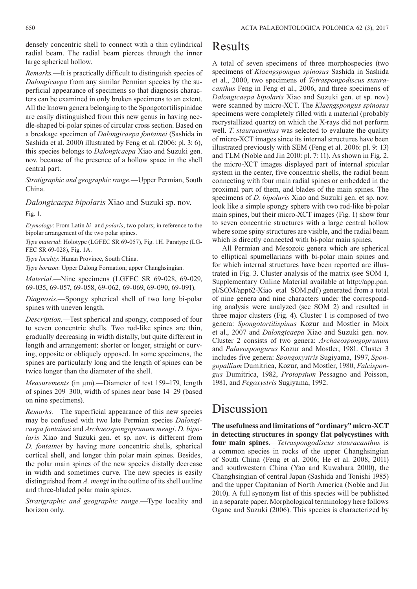densely concentric shell to connect with a thin cylindrical radial beam. The radial beam pierces through the inner large spherical hollow.

*Remarks.*—It is practically difficult to distinguish species of *Dalongicaepa* from any similar Permian species by the superficial appearance of specimens so that diagnosis characters can be examined in only broken specimens to an extent. All the known genera belonging to the Spongotortilispinidae are easily distinguished from this new genus in having needle-shaped bi-polar spines of circular cross section. Based on a breakage specimen of *Dalongicaepa fontainei* (Sashida in Sashida et al. 2000) illustrated by Feng et al. (2006: pl. 3: 6), this species belongs to *Dalongicaepa* Xiao and Suzuki gen. nov. because of the presence of a hollow space in the shell central part.

*Stratigraphic and geographic range.*—Upper Permian, South China.

*Dalongicaepa bipolaris* Xiao and Suzuki sp. nov. Fig. 1.

*Etymology*: From Latin *bi-* and *polaris*, two polars; in reference to the bipolar arrangement of the two polar spines.

*Type material*: Holotype (LGFEC SR 69-057), Fig. 1H. Paratype (LG-FEC SR 69-028), Fig. 1A.

*Type locality*: Hunan Province, South China.

*Type horizon*: Upper Dalong Formation; upper Changhsingian.

*Material.*—Nine specimens (LGFEC SR 69-028, 69-029, 69-035, 69-057, 69-058, 69-062, 69-069, 69-090, 69-091).

*Diagnosis.*—Spongy spherical shell of two long bi-polar spines with uneven length.

*Description.*—Test spherical and spongy, composed of four to seven concentric shells. Two rod-like spines are thin, gradually decreasing in width distally, but quite different in length and arrangement: shorter or longer, straight or curving, opposite or obliquely opposed. In some specimens, the spines are particularly long and the length of spines can be twice longer than the diameter of the shell.

*Measurements* (in μm).—Diameter of test 159–179, length of spines 209–300, width of spines near base 14–29 (based on nine specimens).

*Remarks.*—The superficial appearance of this new species may be confused with two late Permian species *Dalongicaepa fontainei* and *Archaeospongoprunum mengi*. *D. bipolaris* Xiao and Suzuki gen. et sp. nov. is different from *D. fontainei* by having more concentric shells, spherical cortical shell, and longer thin polar main spines. Besides, the polar main spines of the new species distally decrease in width and sometimes curve. The new species is easily distinguished from *A. mengi* in the outline of its shell outline and three-bladed polar main spines.

*Stratigraphic and geographic range.*—Type locality and horizon only.

### Results

A total of seven specimens of three morphospecies (two specimens of *Klaengspongus spinosus* Sashida in Sashida et al., 2000, two specimens of *Tetraspongodiscus stauracanthus* Feng in Feng et al., 2006, and three specimens of *Dalongicaepa bipolaris* Xiao and Suzuki gen. et sp. nov.) were scanned by micro-XCT. The *Klaengspongus spinosus* specimens were completely filled with a material (probably recrystallized quartz) on which the X-rays did not perform well. *T*. *stauracanthus* was selected to evaluate the quality of micro-XCT images since its internal structures have been illustrated previously with SEM (Feng et al. 2006: pl. 9: 13) and TLM (Noble and Jin 2010: pl. 7: 11). As shown in Fig. 2, the micro-XCT images displayed part of internal spicular system in the center, five concentric shells, the radial beam connecting with four main radial spines or embedded in the proximal part of them, and blades of the main spines. The specimens of *D. bipolaris* Xiao and Suzuki gen. et sp. nov. look like a simple spongy sphere with two rod-like bi-polar main spines, but their micro-XCT images (Fig. 1) show four to seven concentric structures with a large central hollow where some spiny structures are visible, and the radial beam which is directly connected with bi-polar main spines.

All Permian and Mesozoic genera which are spherical to elliptical spumellarians with bi-polar main spines and for which internal structures have been reported are illus[trated in Fig. 3. Cluster analysis of the matrix \(see SOM 1,](http://app.pan.pl/SOM/app62-Xiao_etal_SOM.pdf) Supplementary Online Material available at http://app.pan. pl/SOM/app62-Xiao\_etal\_SOM.pdf) generated from a total of nine genera and nine characters under the corresponding analysis were analyzed (see SOM 2) and resulted in three major clusters (Fig. 4). Cluster 1 is composed of two genera: *Spongotortilispinus* Kozur and Mostler in Moix et al., 2007 and *Dalongicaepa* Xiao and Suzuki gen. nov. Cluster 2 consists of two genera: *Archaeospongoprunum* and *Palaeospongurus* Kozur and Mostler, 1981. Cluster 3 includes five genera: *Spongoxystris* Sugiyama, 1997, *Spongopallium* Dumitrica, Kozur, and Mostler, 1980, *Falcispongus* Dumitrica, 1982, *Protopsium* Pessagno and Poisson, 1981, and *Pegoxystris* Sugiyama, 1992.

### Discussion

**The usefulness and limitations of "ordinary" micro-XCT in detecting structures in spongy flat polycystines with four main spines**.—*Tetraspongodiscus stauracanthus* is a common species in rocks of the upper Changhsingian of South China (Feng et al. 2006; He et al. 2008, 2011) and southwestern China (Yao and Kuwahara 2000), the Changhsingian of central Japan (Sashida and Tonishi 1985) and the upper Capitanian of North America (Noble and Jin 2010). A full synonym list of this species will be published in a separate paper. Morphological terminology here follows Ogane and Suzuki (2006). This species is characterized by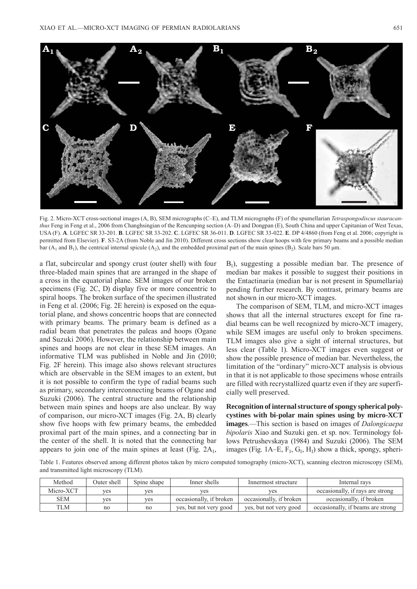

Fig. 2. Micro-XCT cross-sectional images (A, B), SEM micrographs (C–E), and TLM micrographs (F) of the spumellarian *Tetraspongodiscus stauracanthus* Feng in Feng et al., 2006 from Changhsingian of the Rencunping section (A–D) and Dongpan (E), South China and upper Capitanian of West Texas, USA (F). **A**. LGFEC SR 33-201. **B**. LGFEC SR 33-202. **C**. LGFEC SR 36-011. **D**. LGFEC SR 33-022. **E**. DP 4/4860 (from Feng et al. 2006; copyright is permitted from Elsevier). **F**. S3-2A (from Noble and Jin 2010). Different cross sections show clear hoops with few primary beams and a possible median bar (A<sub>1</sub> and B<sub>1</sub>), the centrical internal spicule (A<sub>2</sub>), and the embedded proximal part of the main spines (B<sub>2</sub>). Scale bars 50 µm.

a flat, subcircular and spongy crust (outer shell) with four three-bladed main spines that are arranged in the shape of a cross in the equatorial plane. SEM images of our broken specimens (Fig. 2C, D) display five or more concentric to spiral hoops. The broken surface of the specimen illustrated in Feng et al. (2006; Fig. 2E herein) is exposed on the equatorial plane, and shows concentric hoops that are connected with primary beams. The primary beam is defined as a radial beam that penetrates the paleas and hoops (Ogane and Suzuki 2006). However, the relationship between main spines and hoops are not clear in these SEM images. An informative TLM was published in Noble and Jin (2010; Fig. 2F herein). This image also shows relevant structures which are observable in the SEM images to an extent, but it is not possible to confirm the type of radial beams such as primary, secondary interconnecting beams of Ogane and Suzuki (2006). The central structure and the relationship between main spines and hoops are also unclear. By way of comparison, our micro-XCT images (Fig. 2A, B) clearly show five hoops with few primary beams, the embedded proximal part of the main spines, and a connecting bar in the center of the shell. It is noted that the connecting bar appears to join one of the main spines at least (Fig.  $2A_1$ ,

 $B_1$ ), suggesting a possible median bar. The presence of median bar makes it possible to suggest their positions in the Entactinaria (median bar is not present in Spumellaria) pending further research. By contrast, primary beams are not shown in our micro-XCT images.

The comparison of SEM, TLM, and micro-XCT images shows that all the internal structures except for fine radial beams can be well recognized by micro-XCT imagery, while SEM images are useful only to broken specimens. TLM images also give a sight of internal structures, but less clear (Table 1). Micro-XCT images even suggest or show the possible presence of median bar. Nevertheless, the limitation of the "ordinary" micro-XCT analysis is obvious in that it is not applicable to those specimens whose entrails are filled with recrystallized quartz even if they are superficially well preserved.

**Recognition of internal structure of spongy spherical polycystines with bi-polar main spines using by micro-XCT images**.—This section is based on images of *Dalongicaepa bipolaris* Xiao and Suzuki gen. et sp. nov. Terminology follows Petrushevskaya (1984) and Suzuki (2006). The SEM images (Fig. 1A–E,  $F_1$ ,  $G_1$ ,  $H_1$ ) show a thick, spongy, spheri-

Table 1. Features observed among different photos taken by micro computed tomography (micro-XCT), scanning electron microscopy (SEM), and transmitted light microscopy (TLM).

| Method     | Outer shell | Spine shape | Inner shells            | Innermost structure     | Internal rays                     |
|------------|-------------|-------------|-------------------------|-------------------------|-----------------------------------|
| Micro-XCT  | ves         | ves         | ves                     | ves                     | occasionally, if rays are strong  |
| <b>SEM</b> | ves         | ves         | occasionally, if broken | occasionally, if broken | occasionally, if broken           |
| TLM        | no          | no          | yes, but not very good  | yes, but not very good  | occasionally, if beams are strong |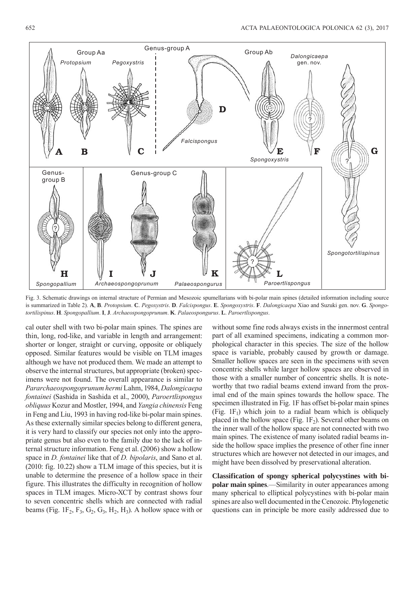

Fig. 3. Schematic drawings on internal structure of Permian and Mesozoic spumellarians with bi-polar main spines (detailed information including source is summarized in Table 2). A, B. Protopsium. C. Pegoxystris. D. Falcispongus. E. Spongoxystris. F. Dalongicaepa Xiao and Suzuki gen. nov. G. Spongo*tortilispinus*. **H**. *Spongopallium*. **I**, **J**. *Archaeospongoprunum*. **K**. *Palaeospongurus*. **L**. *Paroertlispongus*.

cal outer shell with two bi-polar main spines. The spines are thin, long, rod-like, and variable in length and arrangement: shorter or longer, straight or curving, opposite or obliquely opposed. Similar features would be visible on TLM images although we have not produced them. We made an attempt to observe the internal structures, but appropriate (broken) specimens were not found. The overall appearance is similar to *Pararchaeospongoprunum hermi* Lahm, 1984, *Dalongicaepa fontainei* (Sashida in Sashida et al., 2000), *Paroertlispongus obliquus* Kozur and Mostler, 1994, and *Yangia chinensis* Feng in Feng and Liu, 1993 in having rod-like bi-polar main spines. As these externally similar species belong to different genera, it is very hard to classify our species not only into the appropriate genus but also even to the family due to the lack of internal structure information. Feng et al. (2006) show a hollow space in *D. fontainei* like that of *D. bipolaris*, and Sano et al. (2010: fig. 10.22) show a TLM image of this species, but it is unable to determine the presence of a hollow space in their figure. This illustrates the difficulty in recognition of hollow spaces in TLM images. Micro-XCT by contrast shows four to seven concentric shells which are connected with radial beams (Fig. 1F<sub>2</sub>, F<sub>3</sub>, G<sub>2</sub>, G<sub>3</sub>, H<sub>2</sub>, H<sub>3</sub>). A hollow space with or

without some fine rods always exists in the innermost central part of all examined specimens, indicating a common morphological character in this species. The size of the hollow space is variable, probably caused by growth or damage. Smaller hollow spaces are seen in the specimens with seven concentric shells while larger hollow spaces are observed in those with a smaller number of concentric shells. It is noteworthy that two radial beams extend inward from the proximal end of the main spines towards the hollow space. The specimen illustrated in Fig. 1F has offset bi-polar main spines (Fig.  $1F_1$ ) which join to a radial beam which is obliquely placed in the hollow space (Fig.  $1F_2$ ). Several other beams on the inner wall of the hollow space are not connected with two main spines. The existence of many isolated radial beams inside the hollow space implies the presence of other fine inner structures which are however not detected in our images, and might have been dissolved by preservational alteration.

**Classification of spongy spherical polycystines with bipolar main spines.**—Similarity in outer appearances among many spherical to elliptical polycystines with bi-polar main spines are also well documented in the Cenozoic. Phylogenetic questions can in principle be more easily addressed due to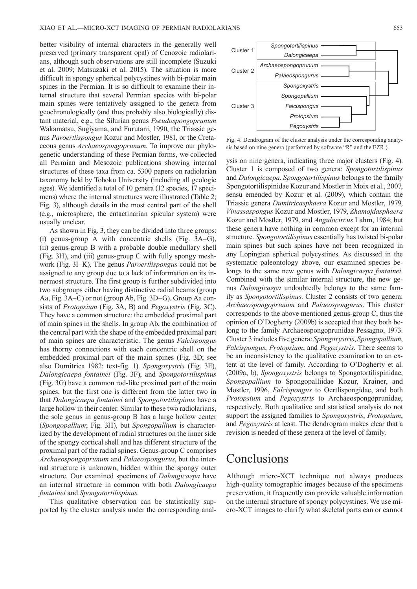better visibility of internal characters in the generally well preserved (primary transparent opal) of Cenozoic radiolarians, although such observations are still incomplete (Suzuki et al. 2009; Matsuzaki et al. 2015). The situation is more difficult in spongy spherical polycystines with bi-polar main spines in the Permian. It is so difficult to examine their internal structure that several Permian species with bi-polar main spines were tentatively assigned to the genera from geochronologically (and thus probably also biologically) distant material, e.g., the Silurian genus *Pseudospongoprunum* Wakamatsu, Sugiyama, and Furutani, 1990, the Triassic genus *Paroertlispongus* Kozur and Mostler, 1981, or the Cretaceous genus *Archaeospongoprunum*. To improve our phylogenetic understanding of these Permian forms, we collected all Permian and Mesozoic publications showing internal structures of these taxa from ca. 5300 papers on radiolarian taxonomy held by Tohoku University (including all geologic ages). We identified a total of 10 genera (12 species, 17 specimens) where the internal structures were illustrated (Table 2; Fig. 3), although details in the most central part of the shell (e.g., microsphere, the entactinarian spicular system) were usually unclear.

As shown in Fig. 3, they can be divided into three groups: (i) genus-group A with concentric shells (Fig. 3A–G), (ii) genus-group B with a probable double medullary shell (Fig. 3H), and (iii) genus-group C with fully spongy meshwork (Fig. 3I–K). The genus *Paroertlispongus* could not be assigned to any group due to a lack of information on its innermost structure. The first group is further subdivided into two subgroups either having distinctive radial beams (group Aa, Fig. 3A–C) or not (group Ab, Fig. 3D–G). Group Aa consists of *Protopsium* (Fig. 3A, B) and *Pegoxystris* (Fig. 3C). They have a common structure: the embedded proximal part of main spines in the shells. In group Ab, the combination of the central part with the shape of the embedded proximal part of main spines are characteristic. The genus *Falcispongus* has thorny connections with each concentric shell on the embedded proximal part of the main spines (Fig. 3D; see also Dumitrica 1982: text-fig. 1). *Spongoxystris* (Fig. 3E), *Dalongicaepa fontainei* (Fig. 3F), and *Spongotortilispinus* (Fig. 3G) have a common rod-like proximal part of the main spines, but the first one is different from the latter two in that *Dalongicaepa fontainei* and *Spongotortilispinus* have a large hollow in their center. Similar to these two radiolarians, the sole genus in genus-group B has a large hollow center (*Spongopallium*; Fig. 3H), but *Spongopallium* is characterized by the development of radial structures on the inner side of the spongy cortical shell and has different structure of the proximal part of the radial spines. Genus-group C comprises *Archaeospongoprunum* and *Palaeospongurus*, but the internal structure is unknown, hidden within the spongy outer structure. Our examined specimens of *Dalongicaepa* have an internal structure in common with both *Dalongicaepa fontainei* and *Spongotortilispinus*.

This qualitative observation can be statistically supported by the cluster analysis under the corresponding anal-



Fig. 4. Dendrogram of the cluster analysis under the corresponding analysis based on nine genera (performed by software "R" and the EZR ).

ysis on nine genera, indicating three major clusters (Fig. 4). Cluster 1 is composed of two genera: *Spongotortilispinus* and *Dalongicaepa*. *Spongotortilispinus* belongs to the family Spongotortilispinidae Kozur and Mostler in Moix et al., 2007, sensu emended by Kozur et al. (2009), which contain the Triassic genera *Dumitricasphaera* Kozur and Mostler, 1979, *Vinassaspongus* Kozur and Mostler, 1979, *Zhamojdasphaera* Kozur and Mostler, 1979, and *Angulocircus* Lahm, 1984; but these genera have nothing in common except for an internal structure. *Spongotortilispinus* essentially has twisted bi-polar main spines but such spines have not been recognized in any Lopingian spherical polycystines. As discussed in the systematic paleontology above, our examined species belongs to the same new genus with *Dalongicaepa fontainei*. Combined with the similar internal structure, the new genus *Dalongicaepa* undoubtedly belongs to the same family as *Spongotortilispinus*. Cluster 2 consists of two genera: *Archaeospongoprunum* and *Palaeospongurus*. This cluster corresponds to the above mentioned genus-group C, thus the opinion of O'Dogherty (2009b) is accepted that they both belong to the family Archaeospongoprunidae Pessagno, 1973. Cluster 3 includes five genera: *Spongo xystris*, *Spongopallium*, *Falcispongus*, *Protopsium*, and *Pegoxystris*. There seems to be an inconsistency to the qualitative examination to an extent at the level of family. According to O'Dogherty et al. (2009a, b), *Spongoxystris* belongs to Spongotortilispinidae, Spongopallium to Spongopalliidae Kozur, Krainer, and Mostler, 1996, *Falcispongus* to Oertlispongidae, and both *Pro topsium* and *Pegoxystris* to Archaeospongoprunidae, respectively. Both qualitative and statistical analysis do not support the assigned families to *Spongoxystris*, *Protopsium*, and *Pegoxystris* at least. The dendrogram makes clear that a revision is needed of these genera at the level of family.

# Conclusions

Although micro-XCT technique not always produces high-quality tomographic images because of the specimens preservation, it frequently can provide valuable information on the internal structure of spongy polycystines. We use micro-XCT images to clarify what skeletal parts can or cannot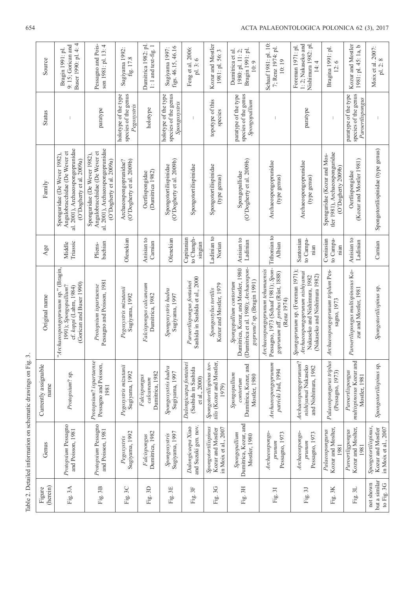| Table 2. Detailed information on schematic drawings on Fig. 3 | Source                       | Buser 1990: pl. 4: 4<br>9: 15; Gorican and<br>Bragin 1991: pl.                                                                 | Pessagno and Pois-<br>son 1981: pl. 13: 4                                                                                      | Sugiyama 1992:<br>fig. 17.8                                 | Dumitrica 1982: pl.<br>$1:1$ and text-fig. $1$ | figs. 46.15, 46.16<br>Sugiyama 1997:                          | Feng et al. 2006:<br>pl. 3:6                                   | Kozur and Mostler<br>1981: pl. 56: 3                             | Bragin 1991: pl.<br>1980: pl. 11: 2;<br>Dumitrica et al.<br>10:9                                                                      | Schaaf 1981: pl. 10:<br>7; Renz 1974: pl.<br>10:19                                                                         | 1:2; Nakaseko and<br>Nishimura 1982: pl<br>Foreman 1971: pl.<br>14:4                                                                | Bragina 1991: pl.<br>12:6                                                           | Kozur and Mostler<br>1981: pl. 45: 1a, b                         | Moix et al. 2007:<br>pl. 2: 8                                     |
|---------------------------------------------------------------|------------------------------|--------------------------------------------------------------------------------------------------------------------------------|--------------------------------------------------------------------------------------------------------------------------------|-------------------------------------------------------------|------------------------------------------------|---------------------------------------------------------------|----------------------------------------------------------------|------------------------------------------------------------------|---------------------------------------------------------------------------------------------------------------------------------------|----------------------------------------------------------------------------------------------------------------------------|-------------------------------------------------------------------------------------------------------------------------------------|-------------------------------------------------------------------------------------|------------------------------------------------------------------|-------------------------------------------------------------------|
|                                                               | <b>Status</b>                |                                                                                                                                | paratype                                                                                                                       | species of the genus<br>holotype of the type<br>Pegoxystris | holotype                                       | species of the genus<br>holotype of the type<br>Spongoxystris |                                                                | topotype of this<br>species                                      | species of the genus<br>paratype of the type<br>Spongopallium                                                                         |                                                                                                                            | paratype                                                                                                                            |                                                                                     | paratype of the type<br>species of the genus<br>Paroertlispongus |                                                                   |
|                                                               | Family                       | al. 2001), Archaeospongoprunidae<br>Angulobracchidae (De Wever et<br>Sponguridae (De Wever 1982),<br>(O'Dogherty et al. 2009a) | al. 2001), Archaeospongoprunidae<br>Angulobracchidae (De Wever et<br>Sponguridae (De Wever 1982),<br>(O'Dogherty et al. 2009a) | (O'Dogherty et al. 2009b)<br>Archaeospongoprunidae?         | (Dumitrica 1982)<br>Oertlispongidae            | (O'Dogherty et al. 2009b)<br>Spongotortilispinidae            | Spongotortilispinidae                                          | Spongotortilispinidae<br>(type genus)                            | (O'Dogherty et al. 2009b)<br>Spongopallidae                                                                                           | Archaeospongoprunidae<br>(type genus)                                                                                      | Archaeospongoprunidae<br>(type genus)                                                                                               | tler 1981), Archaeosponguridae<br>Sponguridae (Kozur and Mos-<br>(O'Dogherty 2009b) | (Kozur and Mostler 1981)<br>Oertlispongidae                      | Spongotortilispinidae (type genus)                                |
|                                                               | Age                          | Triassic<br>Middle                                                                                                             | bachian<br>Pliens-                                                                                                             | Olenekian                                                   | Anisian to<br>Carnian                          | Olenekian                                                     | to Changh-<br>Capitanian<br>singian                            | Ladinian to<br>Norian                                            | Anisian to<br>Ladinian                                                                                                                | Tithonian to<br>Albian                                                                                                     | to Campa-<br>Santonian<br>nian                                                                                                      | Coniasian<br>to Campa-<br>nian                                                      | Anisian to<br>Ladinian                                           | Carnian                                                           |
|                                                               | Original name                | "Archaeospongoprunum sp." (Bragin,<br>Gorican and Buser 1990)<br>1991); Spongopallium?<br>cf. koppi (Lahm, 1984)               | Pessagno and Poisson, 1981<br>Protopsium ispartaense                                                                           | Pegoxystris mizutanii<br>Sugiyama, 1992                     | Falcispongus calcaneum<br>Dumitrica, 1982      | Spongoxystris hadra<br>Sugiyama, 1997                         | Sashida in Sashida et al., 2000<br>Paroertlispongus fontainei  | Kozur and Mostler, 1979<br>Spongostylus tortilis                 | (Dumitrica et al. 1980); Archaeospon-<br>Dumitrica, Kozur, and Mostler, 1980<br>goprunu? sp. (Bragin 1991)<br>Spongopallium contortum | Pessagno, 1973 (Schaaf 1981); Spon-<br>Archaeospongoprunum tehamaensis<br>goprunum aff. probus (Rüst, 1888)<br>(Renz 1974) | Spongoprunum sp. (Foreman 1971);<br>Archaeospongoprunum nishiyamai<br>(Nakaseko and Nishimura 1982)<br>Nakaseko and Nishimura, 1982 | Archaeospongoprunum triplum Pes-<br>sagno, 1973                                     | Paroertlispongus multispinosus Ko-<br>zur and Mostler, 1981      | Spongotortilispinus sp.                                           |
|                                                               | Currently assignable<br>name | Protopsium? sp.                                                                                                                | Protopsium? ispartaense<br>Pessagno and Poisson,<br>1981                                                                       | Pegoxystris mizutanii<br>Sugiyama, 1992                     | Dumitrica, 1982<br>Falcispongus<br>calcaneum   | Spongoxystris hadra<br>Sugiyama, 1997                         | Dalongicaepa fontainei<br>(Sashida in Sashida<br>et al., 2000) | tilis (Kozur and Mostler,<br>Spongotortilispinus tor-<br>1979)   | Dumitrica, Kozur, and<br>Spongopallium<br>Mostler, 1980<br>contortum                                                                  | Archaeospongoprunum<br>patricki Jud, 1994                                                                                  | Archaeospongoprunum?<br>nishiyamai Nakaseko<br>and Nishimura, 1982                                                                  | Palaeospongurus triplus<br>(Pessagno, 1973)                                         | multispinosus Kozur and<br>Paroertlispongus<br>Mostler, 1981     | Spongotortilispinus sp.                                           |
|                                                               | Genus                        | Protopsium Pessagno<br>and Poisson, 1981                                                                                       | Protopsium Pessagno<br>and Poisson, 1981                                                                                       | Sugiyama, 1992<br>Pegoxystris                               | Dumitrica, 1982<br>Falcispongus                | Sugiyama, 1997<br>Spongoxystris                               | and Suzuki gen. nov.<br>Dalongicaepa Xiao                      | Spongotortilispinus<br>in Moix et al., 2007<br>Kozur and Mostler | Dumitrica, Kozur, and<br>Spongopallium<br>Mostler, 1980                                                                               | Archaeospongo-<br>Pessagno, 1973<br>prunum                                                                                 | Archaeospongo-<br>Pessagno, 1973<br>$p$ runum                                                                                       | Kozur and Moslter,<br>Palaeospongurus<br>1981                                       | Kozur and Moslter,<br>Paroertligpongus<br>1981                   | Kozur and Mostler<br>in Moix et al., 2007<br>Spongotortilispinus, |
|                                                               | (herein)<br>Figure           | Fig. 3A                                                                                                                        | Fig. 3B                                                                                                                        | 3C<br>Fig.                                                  | 3D<br>Fig.                                     | Fig. 3E                                                       | Fig. 3F                                                        | 3G<br>Fig.                                                       | 3H<br>Fig.                                                                                                                            | Fig. 31                                                                                                                    | Fig. 3J                                                                                                                             | 3K<br>Fig.                                                                          | Fig. 3L                                                          | but a similar<br>not shown<br>to Fig. 3G                          |

Table 2. Detailed information on schematic drawings on Fig. 3.

#### 654 ACTA PALAEONTOLOGICA POLONICA 62 (3), 2017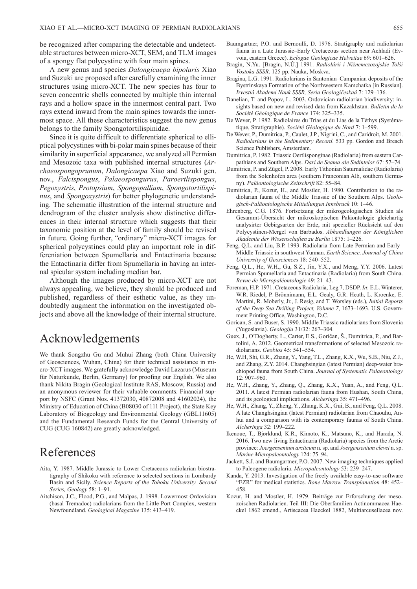be recognized after comparing the detectable and undetectable structures between micro-XCT, SEM, and TLM images of a spongy flat polycystine with four main spines.

A new genus and species *Dalongicaepa bipolaris* Xiao and Suzuki are proposed after carefully examining the inner structures using micro-XCT. The new species has four to seven concentric shells connected by multiple thin internal rays and a hollow space in the innermost central part. Two rays extend inward from the main spines towards the innermost space. All these characteristics suggest the new genus belongs to the family Spongotortilispinidae.

Since it is quite difficult to differentiate spherical to elliptical polycystines with bi-polar main spines because of their similarity in superficial appearance, we analyzed all Permian and Mesozoic taxa with published internal structures (*Archaeo spongoprunum*, *Dalongicaepa* Xiao and Suzuki gen. nov., *Falcispongus*, *Palaeospongurus*, *Paroertlispongus*, *Pego xystris*, *Protopsium*, *Spongopallium*, *Spongotortilispinus*, and *Spongoxystris*) for better phylogenetic understanding. The schematic illustration of the internal structure and dendrogram of the cluster analysis show distinctive differences in their internal structure which suggests that their taxonomic position at the level of family should be revised in future. Going further, "ordinary" micro-XCT images for spherical polycystines could play an important role in differeniation between Spumellaria and Entactinaria because the Entactinaria differ from Spumellaria in having an internal spicular system including median bar.

Although the images produced by micro-XCT are not always appealing, we believe, they should be produced and published, regardless of their esthetic value, as they undoubtedly augment the information on the investigated objects and above all the knowledge of their internal structure.

# Acknowledgements

We thank Songzhu Gu and Muhui Zhang (both China University of Geosciences, Wuhan, China) for their technical assistance in micro-XCT images. We gratefully acknowledge David Lazarus (Museum für Naturkunde, Berlin, Germany) for proofing our English. We also thank Nikita Bragin (Geological Institute RAS, Moscow, Russia) and an anonymous reviewer for their valuable comments. Financial support by NSFC (Grant Nos. 41372030, 40872008 and 41602024), the Ministry of Education of China (B08030 of 111 Project), the State Key Laboratory of Biogeology and Environmental Geology (GBL11605) and the Fundamental Research Funds for the Central University of CUG (CUG 160842) are greatly acknowledged.

# References

- Aita, Y. 1987. Middle Jurassic to Lower Cretaceous radiolarian biostratigraphy of Shikoku with reference to selected sections in Lombardy Basin and Sicily. *Science Reports of the Tohoku University. Second Series, Geology* 58: 1–91.
- Aitchison, J.C., Flood, P.G., and Malpas, J. 1998. Lowermost Ordovician (basal Tremadoc) radiolarians from the Little Port Complex, western Newfoundland. *Geological Magazine* 135: 413–419.
- Baumgartner, P.O. and Bernoulli, D. 1976. Stratigraphy and radiolarian fauna in a Late Jurassic–Early Cretaceous section near Achladi (Evvoia, eastern Greece). *Eclogae Geologicae Helvetiae* 69: 601–626.
- Bragin, N.Yu. [Bragin, N.Û.] 1991. *Radiolârii i Nižnemezozojskie Tolŝi Vostoka SSSR*. 125 pp. Nauka, Moskva.
- Bragina, L.G. 1991. Radiolarians in Santonian–Campanian deposits of the Bystrinskaya Formation of the Northwestern Kamchatka [in Russian]. *Izvestiâ Akademi Nauk SSSR, Seria Geologičeskaâ* 7: 129–136.
- Danelian, T. and Popov, L. 2003. Ordovician radiolarian biodiversity: insights based on new and revised data from Kazakhstan. *Bulletin de la Société Géologique de France* 174: 325–335.
- De Wever, P. 1982. Radiolaires du Trias et du Lias de la Téthys (Systématique, Stratigraphie). *Société Géologique du Nord* 7: 1–599.
- De Wever, P., Dumitrica, P., Caulet, J.P., Nigrini, C., and Caridroit, M. 2001. *Radiolarians in the Sedimentary Record*. 533 pp. Gordon and Breach Science Publishers, Amsterdam.
- Dumitrica, P. 1982. Triassic Oertlisponginae (Radiolaria) from eastern Carpathians and Southern Alps. *Dari de Seama ale Sedintelor* 67: 57–74.
- Dumitrica, P. and Zügel, P. 2008. Early Tithonian Saturnalidae (Radiolaria) from the Solenhofen area (southern Franconian Alb, southern Germany). *Paläontologische Zeitschrift* 82: 55–84.
- Dumitrica, P., Kozur, H., and Mostler, H. 1980. Contribution to the radiolarian fauna of the Middle Triassic of the Southern Alps. *Geologisch-Paläontologische Mitteilungen Innsbruck* 10: 1–46.
- Ehrenberg, C.G. 1876. Fortsetzung der mikrogeologischen Studien als Gesammt-Übersicht der mikroskopischen Paläontologie gleichartig analysirter Gebirgsarten der Erde, mit specieller Rücksicht auf den Polycystinen-Mergel von Barbados. *Abhandlungen der Königlichen Akademie der Wissenschaften zu Berlin* 1875: 1–226.
- Feng, Q.L. and Liu, B.P. 1993. Radiolaria from Late Permian and Early– Middle Triassic in southwest Yunnan. *Earth Science, Journal of China University of Geosciences* 18: 540–552.
- Feng, Q.L., He, W.H., Gu, S.Z., Jin, Y.X., and Meng, Y.Y. 2006. Latest Permian Spumellaria and Entactinaria (Radiolaria) from South China. *Revue de Micropaléontologie* 49: 21–43.
- Foreman, H.P. 1971. Cretaceous Radiolaria, Leg 7, DSDP. *In*: E.L. Winterer, W.R. Riedel, P. Brönnimann, E.L. Gealy, G.R. Heath, L. Kroenke, E. Martini, R. Moberly, Jr., J. Resig, and T. Worsley (eds.), *Initial Reports of the Deep Sea Drilling Project, Volume 7*, 1673–1693. U.S. Government Printing Office, Washington, D.C.
- Gorican, S. and Buser, S. 1990. Middle Triassic radiolarians from Slovenia (Yugoslavia). *Geologija* 31/32: 267–304.
- Guex, J., O'Dogherty, L., Carter, E.S., Goričan, Š., Dumitrica, P., and Bartolini, A. 2012. Geometrical transformations of selected Mesozoic radiolarians. *Geobios* 45: 541–554.
- He, W.H, Shi, G.R., Zhang, Y., Yang, T.L., Zhang, K.X., Wu, S.B., Niu, Z.J., and Zhang, Z.Y. 2014. Changhsingian (latest Permian) deep-water brachiopod fauna from South China. *Journal of Systematic Palaeontology* 12: 907–960.
- He, W.H., Zhang, Y., Zhang, Q., Zhang, K.X., Yuan, A., and Feng, Q.L. 2011. A latest Permian radiolarian fauna from Hushan, South China, and its geological implications. *Alcheringa* 35: 471–496.
- He, W.H., Zhang, Y., Zheng, Y., Zhang, K.X., Gui, B., and Feng, Q.L. 2008. A late Changhsingian (latest Permian) radiolarian from Chaouhu, Anhui and a comparison with its contemporary faunas of South China. *Alcheringa* 32: 199–222.
- Ikenoue, T., Bjørklund, K.R., Kimoto, K., Matsuno, K., and Harada, N. 2016. Two new living Entactinaria (Radiolaria) species from the Arctic province: *Joergensenium arcticum* n. sp. and *Joergensenium clevei* n. sp. *Marine Micropaleontology* 124: 75–94.
- Jackett, S.J. and Baumgartner, P.O. 2007. New imaging techniques applied to Paleogene radiolaria. *Micropaleontology* 53: 239–247.
- Kanda, Y. 2013. Investigation of the freely available easy-to-use software "EZR" for medical statistics. *Bone Marrow Transplanation* 48: 452– 458.
- Kozur, H. and Mostler, H. 1979. Beiträge zur Erforschung der mesozoischen Radiolarien. Teil III: Die Oberfamilien Actinommacea Haeckel 1862 emend., Artiscacea Haeckel 1882, Multiarcusellacea nov.